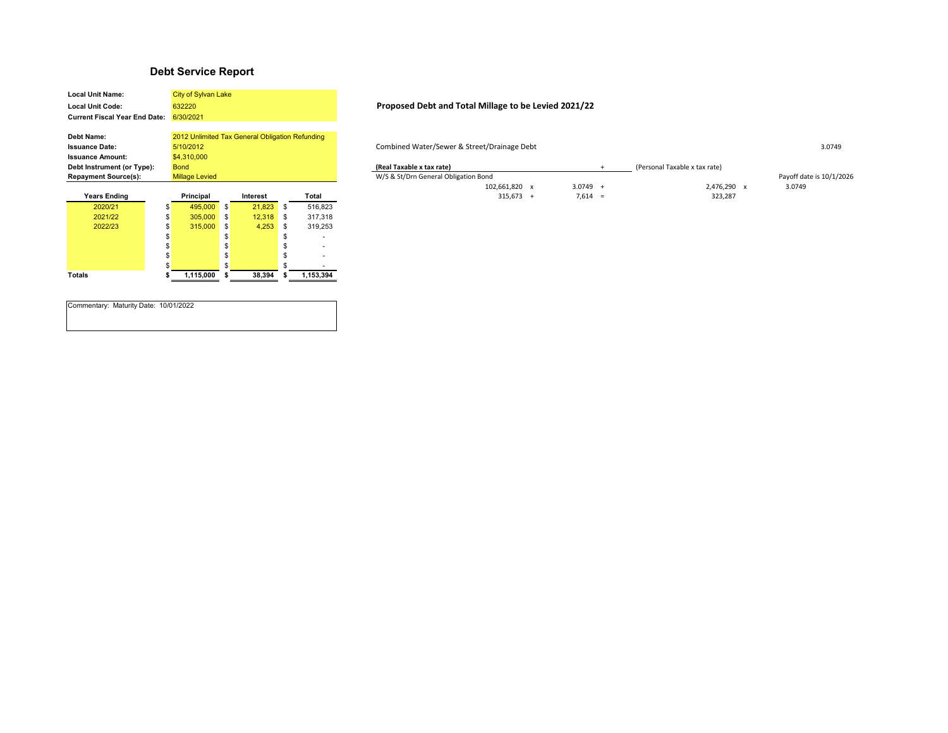## **Debt Service Report**

| <b>Local Unit Name:</b>              | City of Sylvan Lake                             |    |          |    |           |  |  |
|--------------------------------------|-------------------------------------------------|----|----------|----|-----------|--|--|
| <b>Local Unit Code:</b>              | 632220                                          |    |          |    |           |  |  |
| <b>Current Fiscal Year End Date:</b> | 6/30/2021                                       |    |          |    |           |  |  |
|                                      |                                                 |    |          |    |           |  |  |
| <b>Debt Name:</b>                    | 2012 Unlimited Tax General Obligation Refunding |    |          |    |           |  |  |
| <b>Issuance Date:</b>                | 5/10/2012                                       |    |          |    |           |  |  |
| <b>Issuance Amount:</b>              | \$4,310,000                                     |    |          |    |           |  |  |
| Debt Instrument (or Type):           | <b>Bond</b>                                     |    |          |    |           |  |  |
| <b>Repayment Source(s):</b>          | <b>Millage Levied</b>                           |    |          |    |           |  |  |
|                                      |                                                 |    |          |    |           |  |  |
|                                      |                                                 |    |          |    |           |  |  |
| Years Ending                         | Principal                                       |    | Interest |    | Total     |  |  |
| 2020/21                              | \$<br>495,000                                   | \$ | 21,823   | \$ | 516,823   |  |  |
| 2021/22                              | \$<br>305,000                                   | \$ | 12.318   | \$ | 317,318   |  |  |
| 2022/23                              | \$<br>315,000                                   | \$ | 4,253    | \$ | 319,253   |  |  |
|                                      | \$                                              | \$ |          | \$ |           |  |  |
|                                      | \$                                              | \$ |          | \$ |           |  |  |
|                                      | \$                                              | \$ |          | \$ |           |  |  |
|                                      | \$                                              | \$ |          | \$ |           |  |  |
| Totals                               | \$<br>1,115,000                                 | \$ | 38,394   | \$ | 1,153,394 |  |  |

Commentary: Maturity Date: 10/01/2022

## **Local Unit Code: Proposed Debt and Total Millage to be Levied 2021/22**

**Issuance Date:** Combined Water/Sewer & Street/Drainage Debt 3.0749

| Debt Instrument (or Type):  | <b>Bond</b>           |          |       | (Real Taxable x tax rate)            |  |         |           |                          |
|-----------------------------|-----------------------|----------|-------|--------------------------------------|--|---------|-----------|--------------------------|
| <b>Repayment Source(s):</b> | <b>Millage Levied</b> |          |       | W/S & St/Drn General Obligation Bond |  |         |           | Payoff date is 10/1/2026 |
|                             |                       |          |       | 102.661.820                          |  | 3.0749  | 2.476.290 | 3.0749                   |
| <b>Years Ending</b>         | Principal             | Interest | Total | 315,673                              |  | 7,614 : | 323,287   |                          |